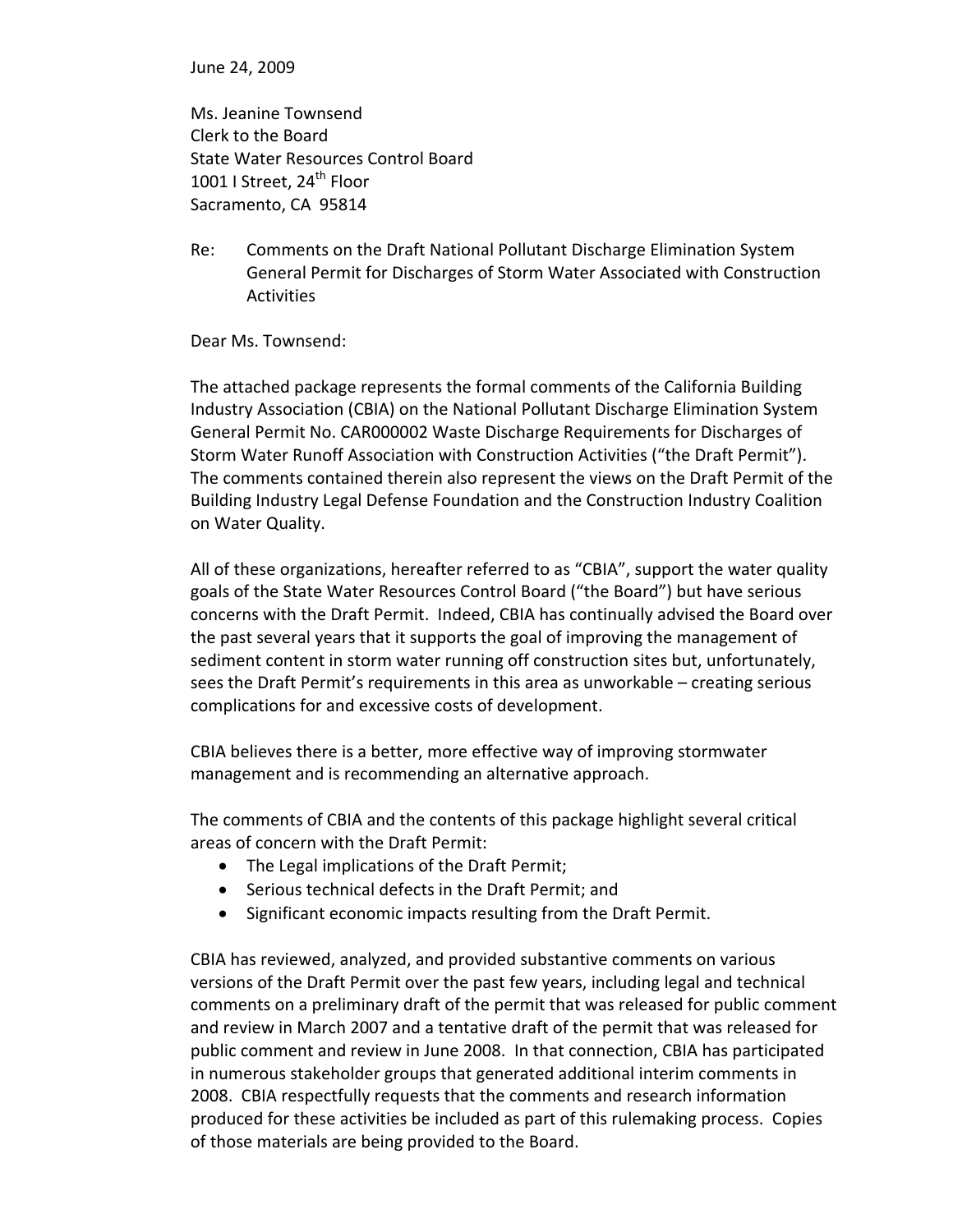June 24, 2009

Ms. Jeanine Townsend Clerk to the Board State Water Resources Control Board 1001 I Street, 24<sup>th</sup> Floor Sacramento, CA 95814

Re: Comments on the Draft National Pollutant Discharge Elimination System General Permit for Discharges of Storm Water Associated with Construction Activities

Dear Ms. Townsend:

The attached package represents the formal comments of the California Building Industry Association (CBIA) on the National Pollutant Discharge Elimination System General Permit No. CAR000002 Waste Discharge Requirements for Discharges of Storm Water Runoff Association with Construction Activities ("the Draft Permit"). The comments contained therein also represent the views on the Draft Permit of the Building Industry Legal Defense Foundation and the Construction Industry Coalition on Water Quality.

All of these organizations, hereafter referred to as "CBIA", support the water quality goals of the State Water Resources Control Board ("the Board") but have serious concerns with the Draft Permit. Indeed, CBIA has continually advised the Board over the past several years that it supports the goal of improving the management of sediment content in storm water running off construction sites but, unfortunately, sees the Draft Permit's requirements in this area as unworkable – creating serious complications for and excessive costs of development.

CBIA believes there is a better, more effective way of improving stormwater management and is recommending an alternative approach.

The comments of CBIA and the contents of this package highlight several critical areas of concern with the Draft Permit:

- The Legal implications of the Draft Permit;
- Serious technical defects in the Draft Permit; and
- Significant economic impacts resulting from the Draft Permit.

CBIA has reviewed, analyzed, and provided substantive comments on various versions of the Draft Permit over the past few years, including legal and technical comments on a preliminary draft of the permit that was released for public comment and review in March 2007 and a tentative draft of the permit that was released for public comment and review in June 2008. In that connection, CBIA has participated in numerous stakeholder groups that generated additional interim comments in 2008. CBIA respectfully requests that the comments and research information produced for these activities be included as part of this rulemaking process. Copies of those materials are being provided to the Board.